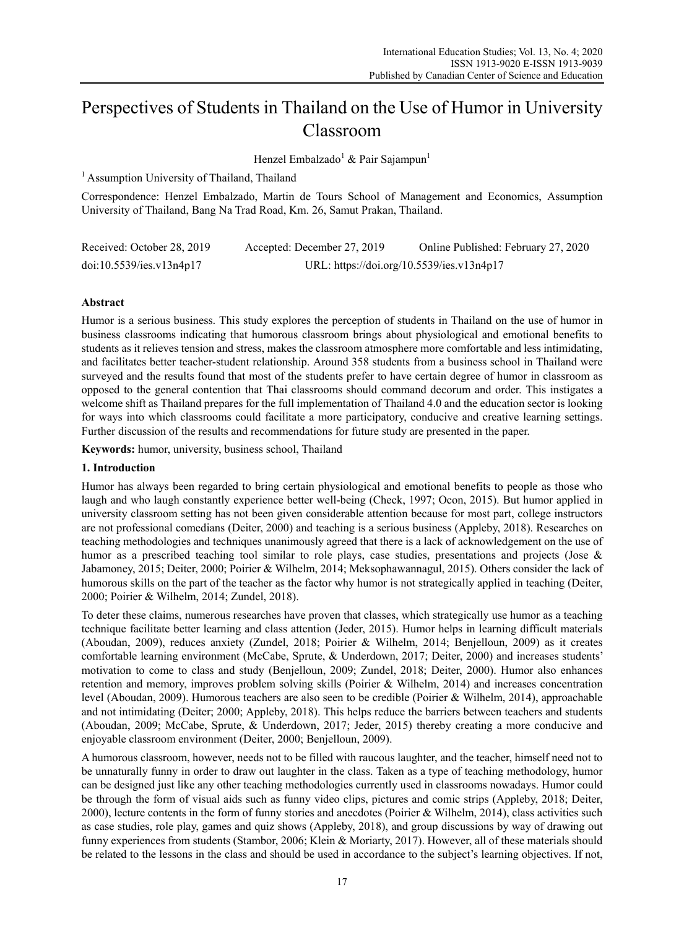# Perspectives of Students in Thailand on the Use of Humor in University Classroom

Henzel Embalzado<sup>1</sup> & Pair Sajampun<sup>1</sup>

<sup>1</sup> Assumption University of Thailand, Thailand

Correspondence: Henzel Embalzado, Martin de Tours School of Management and Economics, Assumption University of Thailand, Bang Na Trad Road, Km. 26, Samut Prakan, Thailand.

| Received: October 28, 2019 | Accepted: December 27, 2019 | Online Published: February 27, 2020       |
|----------------------------|-----------------------------|-------------------------------------------|
| doi:10.5539/ies.v13n4p17   |                             | URL: https://doi.org/10.5539/ies.v13n4p17 |

# **Abstract**

Humor is a serious business. This study explores the perception of students in Thailand on the use of humor in business classrooms indicating that humorous classroom brings about physiological and emotional benefits to students as it relieves tension and stress, makes the classroom atmosphere more comfortable and less intimidating, and facilitates better teacher-student relationship. Around 358 students from a business school in Thailand were surveyed and the results found that most of the students prefer to have certain degree of humor in classroom as opposed to the general contention that Thai classrooms should command decorum and order. This instigates a welcome shift as Thailand prepares for the full implementation of Thailand 4.0 and the education sector is looking for ways into which classrooms could facilitate a more participatory, conducive and creative learning settings. Further discussion of the results and recommendations for future study are presented in the paper.

**Keywords:** humor, university, business school, Thailand

# **1. Introduction**

Humor has always been regarded to bring certain physiological and emotional benefits to people as those who laugh and who laugh constantly experience better well-being (Check, 1997; Ocon, 2015). But humor applied in university classroom setting has not been given considerable attention because for most part, college instructors are not professional comedians (Deiter, 2000) and teaching is a serious business (Appleby, 2018). Researches on teaching methodologies and techniques unanimously agreed that there is a lack of acknowledgement on the use of humor as a prescribed teaching tool similar to role plays, case studies, presentations and projects (Jose & Jabamoney, 2015; Deiter, 2000; Poirier & Wilhelm, 2014; Meksophawannagul, 2015). Others consider the lack of humorous skills on the part of the teacher as the factor why humor is not strategically applied in teaching (Deiter, 2000; Poirier & Wilhelm, 2014; Zundel, 2018).

To deter these claims, numerous researches have proven that classes, which strategically use humor as a teaching technique facilitate better learning and class attention (Jeder, 2015). Humor helps in learning difficult materials (Aboudan, 2009), reduces anxiety (Zundel, 2018; Poirier & Wilhelm, 2014; Benjelloun, 2009) as it creates comfortable learning environment (McCabe, Sprute, & Underdown, 2017; Deiter, 2000) and increases students' motivation to come to class and study (Benjelloun, 2009; Zundel, 2018; Deiter, 2000). Humor also enhances retention and memory, improves problem solving skills (Poirier & Wilhelm, 2014) and increases concentration level (Aboudan, 2009). Humorous teachers are also seen to be credible (Poirier & Wilhelm, 2014), approachable and not intimidating (Deiter; 2000; Appleby, 2018). This helps reduce the barriers between teachers and students (Aboudan, 2009; McCabe, Sprute, & Underdown, 2017; Jeder, 2015) thereby creating a more conducive and enjoyable classroom environment (Deiter, 2000; Benjelloun, 2009).

A humorous classroom, however, needs not to be filled with raucous laughter, and the teacher, himself need not to be unnaturally funny in order to draw out laughter in the class. Taken as a type of teaching methodology, humor can be designed just like any other teaching methodologies currently used in classrooms nowadays. Humor could be through the form of visual aids such as funny video clips, pictures and comic strips (Appleby, 2018; Deiter, 2000), lecture contents in the form of funny stories and anecdotes (Poirier & Wilhelm, 2014), class activities such as case studies, role play, games and quiz shows (Appleby, 2018), and group discussions by way of drawing out funny experiences from students (Stambor, 2006; Klein & Moriarty, 2017). However, all of these materials should be related to the lessons in the class and should be used in accordance to the subject's learning objectives. If not,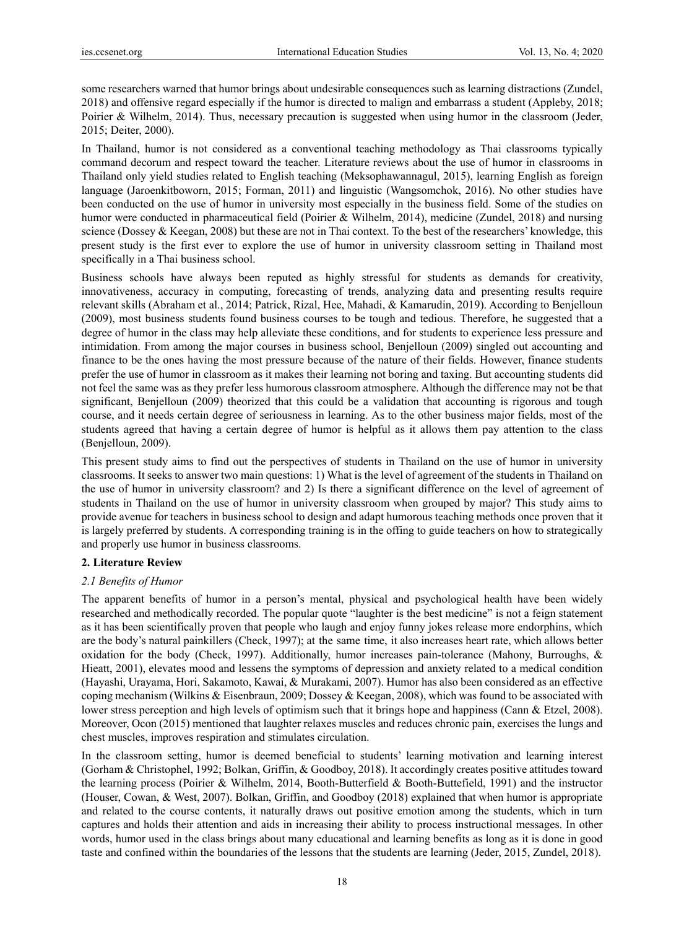some researchers warned that humor brings about undesirable consequences such as learning distractions (Zundel, 2018) and offensive regard especially if the humor is directed to malign and embarrass a student (Appleby, 2018; Poirier & Wilhelm, 2014). Thus, necessary precaution is suggested when using humor in the classroom (Jeder, 2015; Deiter, 2000).

In Thailand, humor is not considered as a conventional teaching methodology as Thai classrooms typically command decorum and respect toward the teacher. Literature reviews about the use of humor in classrooms in Thailand only yield studies related to English teaching (Meksophawannagul, 2015), learning English as foreign language (Jaroenkitboworn, 2015; Forman, 2011) and linguistic (Wangsomchok, 2016). No other studies have been conducted on the use of humor in university most especially in the business field. Some of the studies on humor were conducted in pharmaceutical field (Poirier & Wilhelm, 2014), medicine (Zundel, 2018) and nursing science (Dossey & Keegan, 2008) but these are not in Thai context. To the best of the researchers' knowledge, this present study is the first ever to explore the use of humor in university classroom setting in Thailand most specifically in a Thai business school.

Business schools have always been reputed as highly stressful for students as demands for creativity, innovativeness, accuracy in computing, forecasting of trends, analyzing data and presenting results require relevant skills (Abraham et al., 2014; Patrick, Rizal, Hee, Mahadi, & Kamarudin, 2019). According to Benjelloun (2009), most business students found business courses to be tough and tedious. Therefore, he suggested that a degree of humor in the class may help alleviate these conditions, and for students to experience less pressure and intimidation. From among the major courses in business school, Benjelloun (2009) singled out accounting and finance to be the ones having the most pressure because of the nature of their fields. However, finance students prefer the use of humor in classroom as it makes their learning not boring and taxing. But accounting students did not feel the same was as they prefer less humorous classroom atmosphere. Although the difference may not be that significant, Benjelloun (2009) theorized that this could be a validation that accounting is rigorous and tough course, and it needs certain degree of seriousness in learning. As to the other business major fields, most of the students agreed that having a certain degree of humor is helpful as it allows them pay attention to the class (Benjelloun, 2009).

This present study aims to find out the perspectives of students in Thailand on the use of humor in university classrooms. It seeks to answer two main questions: 1) What is the level of agreement of the students in Thailand on the use of humor in university classroom? and 2) Is there a significant difference on the level of agreement of students in Thailand on the use of humor in university classroom when grouped by major? This study aims to provide avenue for teachers in business school to design and adapt humorous teaching methods once proven that it is largely preferred by students. A corresponding training is in the offing to guide teachers on how to strategically and properly use humor in business classrooms.

# **2. Literature Review**

# *2.1 Benefits of Humor*

The apparent benefits of humor in a person's mental, physical and psychological health have been widely researched and methodically recorded. The popular quote "laughter is the best medicine" is not a feign statement as it has been scientifically proven that people who laugh and enjoy funny jokes release more endorphins, which are the body's natural painkillers (Check, 1997); at the same time, it also increases heart rate, which allows better oxidation for the body (Check, 1997). Additionally, humor increases pain-tolerance (Mahony, Burroughs, & Hieatt, 2001), elevates mood and lessens the symptoms of depression and anxiety related to a medical condition (Hayashi, Urayama, Hori, Sakamoto, Kawai, & Murakami, 2007). Humor has also been considered as an effective coping mechanism (Wilkins & Eisenbraun, 2009; Dossey & Keegan, 2008), which was found to be associated with lower stress perception and high levels of optimism such that it brings hope and happiness (Cann & Etzel, 2008). Moreover, Ocon (2015) mentioned that laughter relaxes muscles and reduces chronic pain, exercises the lungs and chest muscles, improves respiration and stimulates circulation.

In the classroom setting, humor is deemed beneficial to students' learning motivation and learning interest (Gorham & Christophel, 1992; Bolkan, Griffin, & Goodboy, 2018). It accordingly creates positive attitudes toward the learning process (Poirier & Wilhelm, 2014, Booth-Butterfield & Booth-Buttefield, 1991) and the instructor (Houser, Cowan, & West, 2007). Bolkan, Griffin, and Goodboy (2018) explained that when humor is appropriate and related to the course contents, it naturally draws out positive emotion among the students, which in turn captures and holds their attention and aids in increasing their ability to process instructional messages. In other words, humor used in the class brings about many educational and learning benefits as long as it is done in good taste and confined within the boundaries of the lessons that the students are learning (Jeder, 2015, Zundel, 2018).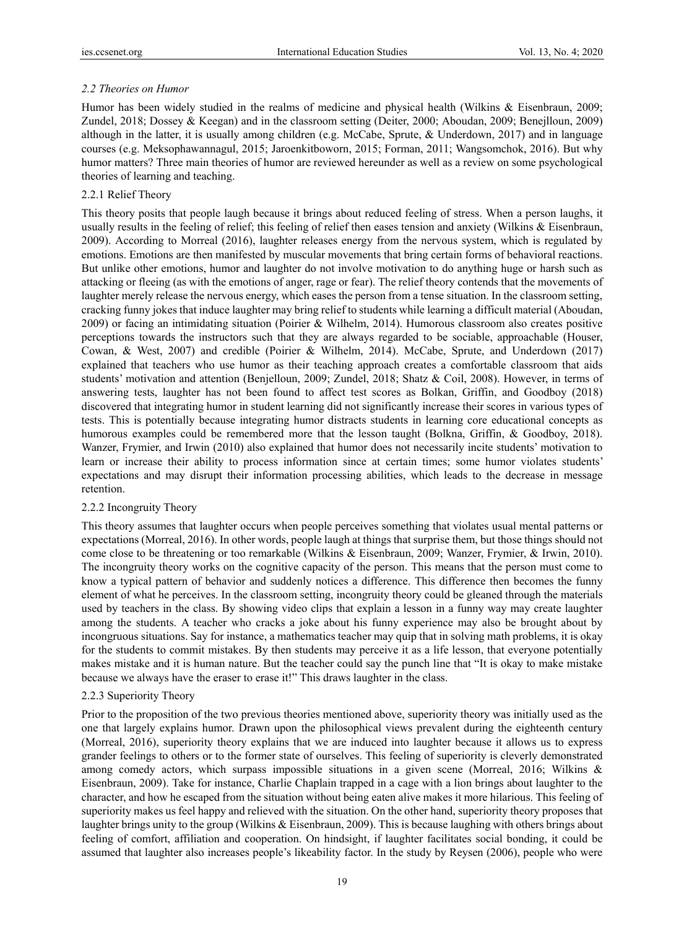# *2.2 Theories on Humor*

Humor has been widely studied in the realms of medicine and physical health (Wilkins & Eisenbraun, 2009; Zundel, 2018; Dossey & Keegan) and in the classroom setting (Deiter, 2000; Aboudan, 2009; Benejlloun, 2009) although in the latter, it is usually among children (e.g. McCabe, Sprute, & Underdown, 2017) and in language courses (e.g. Meksophawannagul, 2015; Jaroenkitboworn, 2015; Forman, 2011; Wangsomchok, 2016). But why humor matters? Three main theories of humor are reviewed hereunder as well as a review on some psychological theories of learning and teaching.

# 2.2.1 Relief Theory

This theory posits that people laugh because it brings about reduced feeling of stress. When a person laughs, it usually results in the feeling of relief; this feeling of relief then eases tension and anxiety (Wilkins & Eisenbraun, 2009). According to Morreal (2016), laughter releases energy from the nervous system, which is regulated by emotions. Emotions are then manifested by muscular movements that bring certain forms of behavioral reactions. But unlike other emotions, humor and laughter do not involve motivation to do anything huge or harsh such as attacking or fleeing (as with the emotions of anger, rage or fear). The relief theory contends that the movements of laughter merely release the nervous energy, which eases the person from a tense situation. In the classroom setting, cracking funny jokes that induce laughter may bring relief to students while learning a difficult material (Aboudan, 2009) or facing an intimidating situation (Poirier & Wilhelm, 2014). Humorous classroom also creates positive perceptions towards the instructors such that they are always regarded to be sociable, approachable (Houser, Cowan, & West, 2007) and credible (Poirier & Wilhelm, 2014). McCabe, Sprute, and Underdown (2017) explained that teachers who use humor as their teaching approach creates a comfortable classroom that aids students' motivation and attention (Benjelloun, 2009; Zundel, 2018; Shatz & Coil, 2008). However, in terms of answering tests, laughter has not been found to affect test scores as Bolkan, Griffin, and Goodboy (2018) discovered that integrating humor in student learning did not significantly increase their scores in various types of tests. This is potentially because integrating humor distracts students in learning core educational concepts as humorous examples could be remembered more that the lesson taught (Bolkna, Griffin, & Goodboy, 2018). Wanzer, Frymier, and Irwin (2010) also explained that humor does not necessarily incite students' motivation to learn or increase their ability to process information since at certain times; some humor violates students' expectations and may disrupt their information processing abilities, which leads to the decrease in message retention.

# 2.2.2 Incongruity Theory

This theory assumes that laughter occurs when people perceives something that violates usual mental patterns or expectations (Morreal, 2016). In other words, people laugh at things that surprise them, but those things should not come close to be threatening or too remarkable (Wilkins & Eisenbraun, 2009; Wanzer, Frymier, & Irwin, 2010). The incongruity theory works on the cognitive capacity of the person. This means that the person must come to know a typical pattern of behavior and suddenly notices a difference. This difference then becomes the funny element of what he perceives. In the classroom setting, incongruity theory could be gleaned through the materials used by teachers in the class. By showing video clips that explain a lesson in a funny way may create laughter among the students. A teacher who cracks a joke about his funny experience may also be brought about by incongruous situations. Say for instance, a mathematics teacher may quip that in solving math problems, it is okay for the students to commit mistakes. By then students may perceive it as a life lesson, that everyone potentially makes mistake and it is human nature. But the teacher could say the punch line that "It is okay to make mistake because we always have the eraser to erase it!" This draws laughter in the class.

# 2.2.3 Superiority Theory

Prior to the proposition of the two previous theories mentioned above, superiority theory was initially used as the one that largely explains humor. Drawn upon the philosophical views prevalent during the eighteenth century (Morreal, 2016), superiority theory explains that we are induced into laughter because it allows us to express grander feelings to others or to the former state of ourselves. This feeling of superiority is cleverly demonstrated among comedy actors, which surpass impossible situations in a given scene (Morreal, 2016; Wilkins & Eisenbraun, 2009). Take for instance, Charlie Chaplain trapped in a cage with a lion brings about laughter to the character, and how he escaped from the situation without being eaten alive makes it more hilarious. This feeling of superiority makes us feel happy and relieved with the situation. On the other hand, superiority theory proposes that laughter brings unity to the group (Wilkins & Eisenbraun, 2009). This is because laughing with others brings about feeling of comfort, affiliation and cooperation. On hindsight, if laughter facilitates social bonding, it could be assumed that laughter also increases people's likeability factor. In the study by Reysen (2006), people who were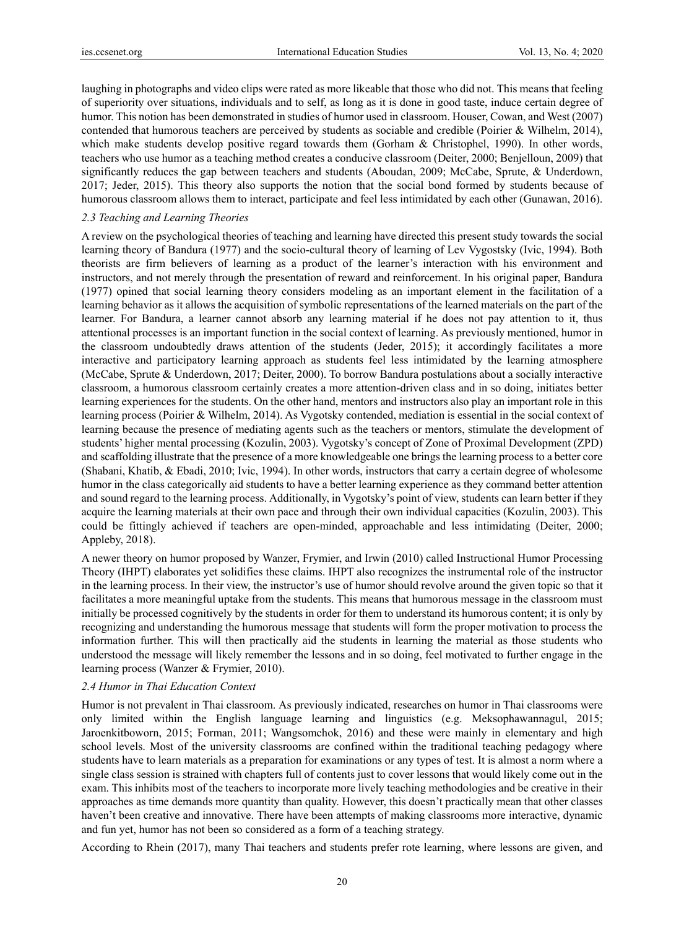laughing in photographs and video clips were rated as more likeable that those who did not. This means that feeling of superiority over situations, individuals and to self, as long as it is done in good taste, induce certain degree of humor. This notion has been demonstrated in studies of humor used in classroom. Houser, Cowan, and West (2007) contended that humorous teachers are perceived by students as sociable and credible (Poirier & Wilhelm, 2014), which make students develop positive regard towards them (Gorham & Christophel, 1990). In other words, teachers who use humor as a teaching method creates a conducive classroom (Deiter, 2000; Benjelloun, 2009) that significantly reduces the gap between teachers and students (Aboudan, 2009; McCabe, Sprute, & Underdown, 2017; Jeder, 2015). This theory also supports the notion that the social bond formed by students because of humorous classroom allows them to interact, participate and feel less intimidated by each other (Gunawan, 2016).

## *2.3 Teaching and Learning Theories*

A review on the psychological theories of teaching and learning have directed this present study towards the social learning theory of Bandura (1977) and the socio-cultural theory of learning of Lev Vygostsky (Ivic, 1994). Both theorists are firm believers of learning as a product of the learner's interaction with his environment and instructors, and not merely through the presentation of reward and reinforcement. In his original paper, Bandura (1977) opined that social learning theory considers modeling as an important element in the facilitation of a learning behavior as it allows the acquisition of symbolic representations of the learned materials on the part of the learner. For Bandura, a learner cannot absorb any learning material if he does not pay attention to it, thus attentional processes is an important function in the social context of learning. As previously mentioned, humor in the classroom undoubtedly draws attention of the students (Jeder, 2015); it accordingly facilitates a more interactive and participatory learning approach as students feel less intimidated by the learning atmosphere (McCabe, Sprute & Underdown, 2017; Deiter, 2000). To borrow Bandura postulations about a socially interactive classroom, a humorous classroom certainly creates a more attention-driven class and in so doing, initiates better learning experiences for the students. On the other hand, mentors and instructors also play an important role in this learning process (Poirier & Wilhelm, 2014). As Vygotsky contended, mediation is essential in the social context of learning because the presence of mediating agents such as the teachers or mentors, stimulate the development of students' higher mental processing (Kozulin, 2003). Vygotsky's concept of Zone of Proximal Development (ZPD) and scaffolding illustrate that the presence of a more knowledgeable one brings the learning process to a better core (Shabani, Khatib, & Ebadi, 2010; Ivic, 1994). In other words, instructors that carry a certain degree of wholesome humor in the class categorically aid students to have a better learning experience as they command better attention and sound regard to the learning process. Additionally, in Vygotsky's point of view, students can learn better if they acquire the learning materials at their own pace and through their own individual capacities (Kozulin, 2003). This could be fittingly achieved if teachers are open-minded, approachable and less intimidating (Deiter, 2000; Appleby, 2018).

A newer theory on humor proposed by Wanzer, Frymier, and Irwin (2010) called Instructional Humor Processing Theory (IHPT) elaborates yet solidifies these claims. IHPT also recognizes the instrumental role of the instructor in the learning process. In their view, the instructor's use of humor should revolve around the given topic so that it facilitates a more meaningful uptake from the students. This means that humorous message in the classroom must initially be processed cognitively by the students in order for them to understand its humorous content; it is only by recognizing and understanding the humorous message that students will form the proper motivation to process the information further. This will then practically aid the students in learning the material as those students who understood the message will likely remember the lessons and in so doing, feel motivated to further engage in the learning process (Wanzer & Frymier, 2010).

#### *2.4 Humor in Thai Education Context*

Humor is not prevalent in Thai classroom. As previously indicated, researches on humor in Thai classrooms were only limited within the English language learning and linguistics (e.g. Meksophawannagul, 2015; Jaroenkitboworn, 2015; Forman, 2011; Wangsomchok, 2016) and these were mainly in elementary and high school levels. Most of the university classrooms are confined within the traditional teaching pedagogy where students have to learn materials as a preparation for examinations or any types of test. It is almost a norm where a single class session is strained with chapters full of contents just to cover lessons that would likely come out in the exam. This inhibits most of the teachers to incorporate more lively teaching methodologies and be creative in their approaches as time demands more quantity than quality. However, this doesn't practically mean that other classes haven't been creative and innovative. There have been attempts of making classrooms more interactive, dynamic and fun yet, humor has not been so considered as a form of a teaching strategy.

According to Rhein (2017), many Thai teachers and students prefer rote learning, where lessons are given, and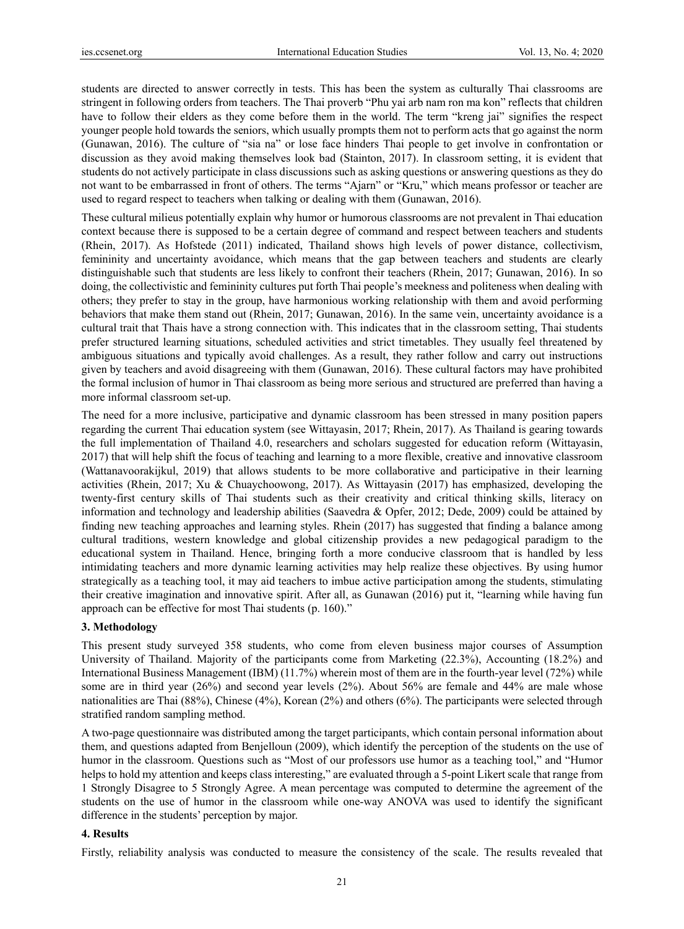students are directed to answer correctly in tests. This has been the system as culturally Thai classrooms are stringent in following orders from teachers. The Thai proverb "Phu yai arb nam ron ma kon" reflects that children have to follow their elders as they come before them in the world. The term "kreng jai" signifies the respect younger people hold towards the seniors, which usually prompts them not to perform acts that go against the norm (Gunawan, 2016). The culture of "sia na" or lose face hinders Thai people to get involve in confrontation or discussion as they avoid making themselves look bad (Stainton, 2017). In classroom setting, it is evident that students do not actively participate in class discussions such as asking questions or answering questions as they do not want to be embarrassed in front of others. The terms "Ajarn" or "Kru," which means professor or teacher are used to regard respect to teachers when talking or dealing with them (Gunawan, 2016).

These cultural milieus potentially explain why humor or humorous classrooms are not prevalent in Thai education context because there is supposed to be a certain degree of command and respect between teachers and students (Rhein, 2017). As Hofstede (2011) indicated, Thailand shows high levels of power distance, collectivism, femininity and uncertainty avoidance, which means that the gap between teachers and students are clearly distinguishable such that students are less likely to confront their teachers (Rhein, 2017; Gunawan, 2016). In so doing, the collectivistic and femininity cultures put forth Thai people's meekness and politeness when dealing with others; they prefer to stay in the group, have harmonious working relationship with them and avoid performing behaviors that make them stand out (Rhein, 2017; Gunawan, 2016). In the same vein, uncertainty avoidance is a cultural trait that Thais have a strong connection with. This indicates that in the classroom setting, Thai students prefer structured learning situations, scheduled activities and strict timetables. They usually feel threatened by ambiguous situations and typically avoid challenges. As a result, they rather follow and carry out instructions given by teachers and avoid disagreeing with them (Gunawan, 2016). These cultural factors may have prohibited the formal inclusion of humor in Thai classroom as being more serious and structured are preferred than having a more informal classroom set-up.

The need for a more inclusive, participative and dynamic classroom has been stressed in many position papers regarding the current Thai education system (see Wittayasin, 2017; Rhein, 2017). As Thailand is gearing towards the full implementation of Thailand 4.0, researchers and scholars suggested for education reform (Wittayasin, 2017) that will help shift the focus of teaching and learning to a more flexible, creative and innovative classroom (Wattanavoorakijkul, 2019) that allows students to be more collaborative and participative in their learning activities (Rhein, 2017; Xu & Chuaychoowong, 2017). As Wittayasin (2017) has emphasized, developing the twenty-first century skills of Thai students such as their creativity and critical thinking skills, literacy on information and technology and leadership abilities (Saavedra & Opfer, 2012; Dede, 2009) could be attained by finding new teaching approaches and learning styles. Rhein (2017) has suggested that finding a balance among cultural traditions, western knowledge and global citizenship provides a new pedagogical paradigm to the educational system in Thailand. Hence, bringing forth a more conducive classroom that is handled by less intimidating teachers and more dynamic learning activities may help realize these objectives. By using humor strategically as a teaching tool, it may aid teachers to imbue active participation among the students, stimulating their creative imagination and innovative spirit. After all, as Gunawan (2016) put it, "learning while having fun approach can be effective for most Thai students (p. 160)."

## **3. Methodology**

This present study surveyed 358 students, who come from eleven business major courses of Assumption University of Thailand. Majority of the participants come from Marketing (22.3%), Accounting (18.2%) and International Business Management (IBM) (11.7%) wherein most of them are in the fourth-year level (72%) while some are in third year (26%) and second year levels (2%). About 56% are female and 44% are male whose nationalities are Thai (88%), Chinese (4%), Korean (2%) and others (6%). The participants were selected through stratified random sampling method.

A two-page questionnaire was distributed among the target participants, which contain personal information about them, and questions adapted from Benjelloun (2009), which identify the perception of the students on the use of humor in the classroom. Questions such as "Most of our professors use humor as a teaching tool," and "Humor helps to hold my attention and keeps class interesting," are evaluated through a 5-point Likert scale that range from 1 Strongly Disagree to 5 Strongly Agree. A mean percentage was computed to determine the agreement of the students on the use of humor in the classroom while one-way ANOVA was used to identify the significant difference in the students' perception by major.

#### **4. Results**

Firstly, reliability analysis was conducted to measure the consistency of the scale. The results revealed that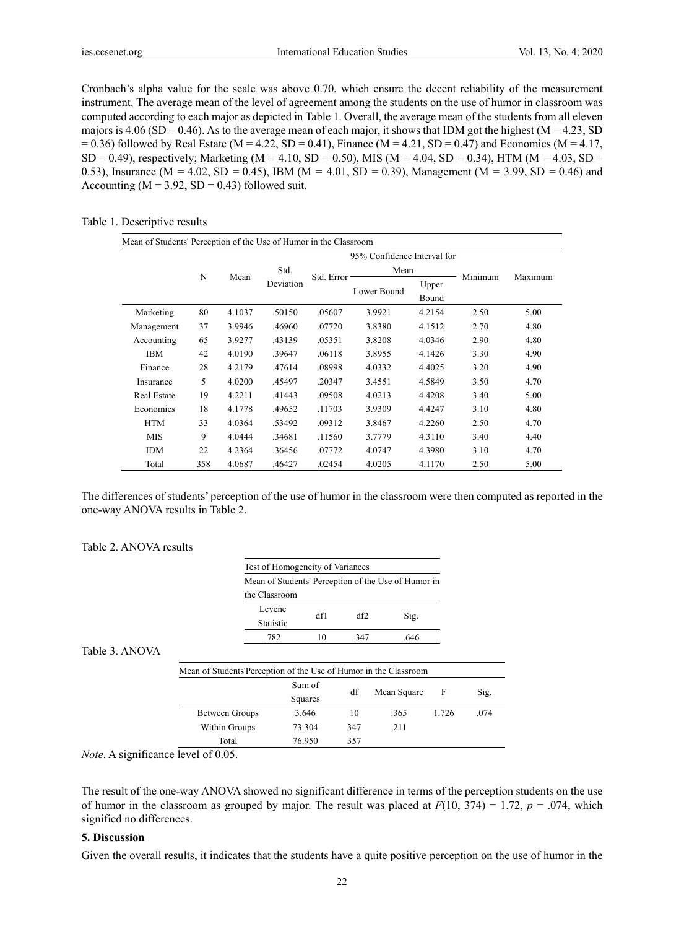Cronbach's alpha value for the scale was above 0.70, which ensure the decent reliability of the measurement instrument. The average mean of the level of agreement among the students on the use of humor in classroom was computed according to each major as depicted in Table 1. Overall, the average mean of the students from all eleven majors is  $4.06$  (SD = 0.46). As to the average mean of each major, it shows that IDM got the highest (M = 4.23, SD  $= 0.36$ ) followed by Real Estate (M = 4.22, SD = 0.41), Finance (M = 4.21, SD = 0.47) and Economics (M = 4.17, SD = 0.49), respectively; Marketing (M = 4.10, SD = 0.50), MIS (M = 4.04, SD = 0.34), HTM (M = 4.03, SD = 0.53), Insurance (M = 4.02, SD = 0.45), IBM (M = 4.01, SD = 0.39), Management (M = 3.99, SD = 0.46) and Accounting  $(M = 3.92, SD = 0.43)$  followed suit.

## Table 1. Descriptive results

| Mean of Students' Perception of the Use of Humor in the Classroom |                             |        |                   |            |             |                |         |         |
|-------------------------------------------------------------------|-----------------------------|--------|-------------------|------------|-------------|----------------|---------|---------|
|                                                                   | 95% Confidence Interval for |        |                   |            |             |                |         |         |
|                                                                   |                             |        | Std.<br>Deviation | Std. Error | Mean        |                | Minimum |         |
|                                                                   | N                           | Mean   |                   |            | Lower Bound | Upper<br>Bound |         | Maximum |
| Marketing                                                         | 80                          | 4.1037 | .50150            | .05607     | 3.9921      | 4.2154         | 2.50    | 5.00    |
| Management                                                        | 37                          | 3.9946 | .46960            | .07720     | 3.8380      | 4.1512         | 2.70    | 4.80    |
| Accounting                                                        | 65                          | 3.9277 | .43139            | .05351     | 3.8208      | 4.0346         | 2.90    | 4.80    |
| <b>IBM</b>                                                        | 42                          | 4.0190 | .39647            | .06118     | 3.8955      | 4.1426         | 3.30    | 4.90    |
| Finance                                                           | 28                          | 4.2179 | .47614            | .08998     | 4.0332      | 4.4025         | 3.20    | 4.90    |
| Insurance                                                         | 5                           | 4.0200 | .45497            | .20347     | 3.4551      | 4.5849         | 3.50    | 4.70    |
| Real Estate                                                       | 19                          | 4.2211 | .41443            | .09508     | 4.0213      | 4.4208         | 3.40    | 5.00    |
| Economics                                                         | 18                          | 4.1778 | .49652            | .11703     | 3.9309      | 4.4247         | 3.10    | 4.80    |
| <b>HTM</b>                                                        | 33                          | 4.0364 | .53492            | .09312     | 3.8467      | 4.2260         | 2.50    | 4.70    |
| <b>MIS</b>                                                        | 9                           | 4.0444 | .34681            | .11560     | 3.7779      | 4.3110         | 3.40    | 4.40    |
| <b>IDM</b>                                                        | 22                          | 4.2364 | .36456            | .07772     | 4.0747      | 4.3980         | 3.10    | 4.70    |
| Total                                                             | 358                         | 4.0687 | .46427            | .02454     | 4.0205      | 4.1170         | 2.50    | 5.00    |

The differences of students' perception of the use of humor in the classroom were then computed as reported in the one-way ANOVA results in Table 2.

# Table 2. ANOVA results

|                | Test of Homogeneity of Variances                                 |                                                     |                   |     |             |       |      |
|----------------|------------------------------------------------------------------|-----------------------------------------------------|-------------------|-----|-------------|-------|------|
|                |                                                                  | Mean of Students' Perception of the Use of Humor in |                   |     |             |       |      |
|                | the Classroom                                                    |                                                     |                   |     |             |       |      |
|                |                                                                  | Levene<br>Statistic                                 | df1               | df2 | Sig.        |       |      |
|                |                                                                  | .782                                                | 10                | 347 | .646        |       |      |
| Table 3. ANOVA |                                                                  |                                                     |                   |     |             |       |      |
|                | Mean of Students'Perception of the Use of Humor in the Classroom |                                                     |                   |     |             |       |      |
|                |                                                                  |                                                     | Sum of<br>Squares | df  | Mean Square | F     | Sig. |
|                | Between Groups                                                   |                                                     | 3.646             | 10  | .365        | 1.726 | .074 |
|                | Within Groups                                                    |                                                     | 73.304            | 347 | .211        |       |      |
|                | Total                                                            |                                                     | 76.950            | 357 |             |       |      |

*Note*. A significance level of 0.05.

The result of the one-way ANOVA showed no significant difference in terms of the perception students on the use of humor in the classroom as grouped by major. The result was placed at  $F(10, 374) = 1.72$ ,  $p = .074$ , which signified no differences.

# **5. Discussion**

Given the overall results, it indicates that the students have a quite positive perception on the use of humor in the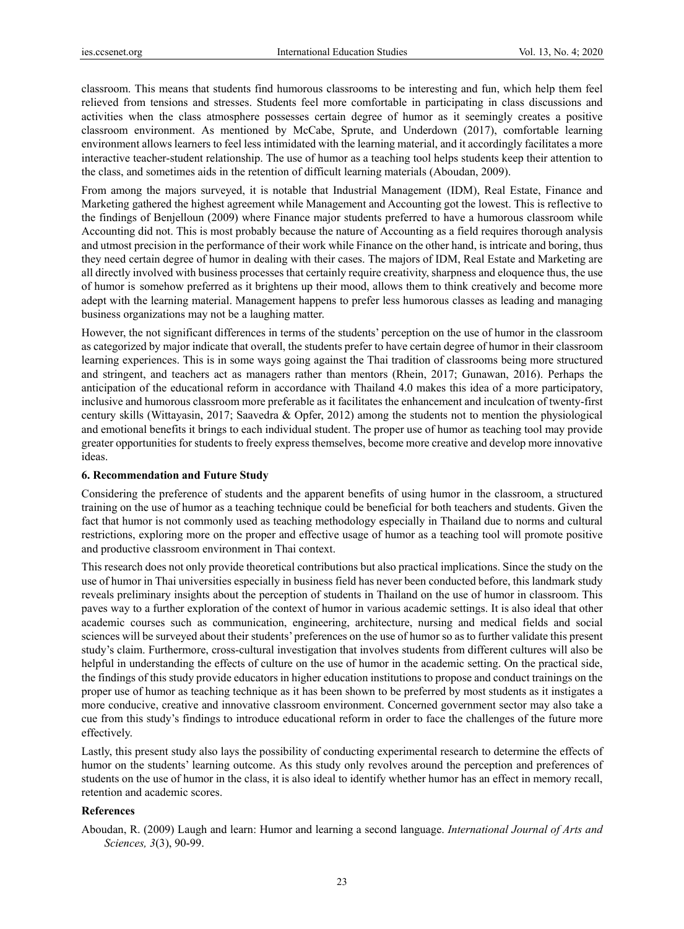classroom. This means that students find humorous classrooms to be interesting and fun, which help them feel relieved from tensions and stresses. Students feel more comfortable in participating in class discussions and activities when the class atmosphere possesses certain degree of humor as it seemingly creates a positive classroom environment. As mentioned by McCabe, Sprute, and Underdown (2017), comfortable learning environment allows learners to feel less intimidated with the learning material, and it accordingly facilitates a more interactive teacher-student relationship. The use of humor as a teaching tool helps students keep their attention to the class, and sometimes aids in the retention of difficult learning materials (Aboudan, 2009).

From among the majors surveyed, it is notable that Industrial Management (IDM), Real Estate, Finance and Marketing gathered the highest agreement while Management and Accounting got the lowest. This is reflective to the findings of Benjelloun (2009) where Finance major students preferred to have a humorous classroom while Accounting did not. This is most probably because the nature of Accounting as a field requires thorough analysis and utmost precision in the performance of their work while Finance on the other hand, is intricate and boring, thus they need certain degree of humor in dealing with their cases. The majors of IDM, Real Estate and Marketing are all directly involved with business processes that certainly require creativity, sharpness and eloquence thus, the use of humor is somehow preferred as it brightens up their mood, allows them to think creatively and become more adept with the learning material. Management happens to prefer less humorous classes as leading and managing business organizations may not be a laughing matter.

However, the not significant differences in terms of the students' perception on the use of humor in the classroom as categorized by major indicate that overall, the students prefer to have certain degree of humor in their classroom learning experiences. This is in some ways going against the Thai tradition of classrooms being more structured and stringent, and teachers act as managers rather than mentors (Rhein, 2017; Gunawan, 2016). Perhaps the anticipation of the educational reform in accordance with Thailand 4.0 makes this idea of a more participatory, inclusive and humorous classroom more preferable as it facilitates the enhancement and inculcation of twenty-first century skills (Wittayasin, 2017; Saavedra & Opfer, 2012) among the students not to mention the physiological and emotional benefits it brings to each individual student. The proper use of humor as teaching tool may provide greater opportunities for students to freely express themselves, become more creative and develop more innovative ideas.

#### **6. Recommendation and Future Study**

Considering the preference of students and the apparent benefits of using humor in the classroom, a structured training on the use of humor as a teaching technique could be beneficial for both teachers and students. Given the fact that humor is not commonly used as teaching methodology especially in Thailand due to norms and cultural restrictions, exploring more on the proper and effective usage of humor as a teaching tool will promote positive and productive classroom environment in Thai context.

This research does not only provide theoretical contributions but also practical implications. Since the study on the use of humor in Thai universities especially in business field has never been conducted before, this landmark study reveals preliminary insights about the perception of students in Thailand on the use of humor in classroom. This paves way to a further exploration of the context of humor in various academic settings. It is also ideal that other academic courses such as communication, engineering, architecture, nursing and medical fields and social sciences will be surveyed about their students' preferences on the use of humor so as to further validate this present study's claim. Furthermore, cross-cultural investigation that involves students from different cultures will also be helpful in understanding the effects of culture on the use of humor in the academic setting. On the practical side, the findings of this study provide educators in higher education institutions to propose and conduct trainings on the proper use of humor as teaching technique as it has been shown to be preferred by most students as it instigates a more conducive, creative and innovative classroom environment. Concerned government sector may also take a cue from this study's findings to introduce educational reform in order to face the challenges of the future more effectively.

Lastly, this present study also lays the possibility of conducting experimental research to determine the effects of humor on the students' learning outcome. As this study only revolves around the perception and preferences of students on the use of humor in the class, it is also ideal to identify whether humor has an effect in memory recall, retention and academic scores.

#### **References**

Aboudan, R. (2009) Laugh and learn: Humor and learning a second language. *International Journal of Arts and Sciences, 3*(3), 90-99.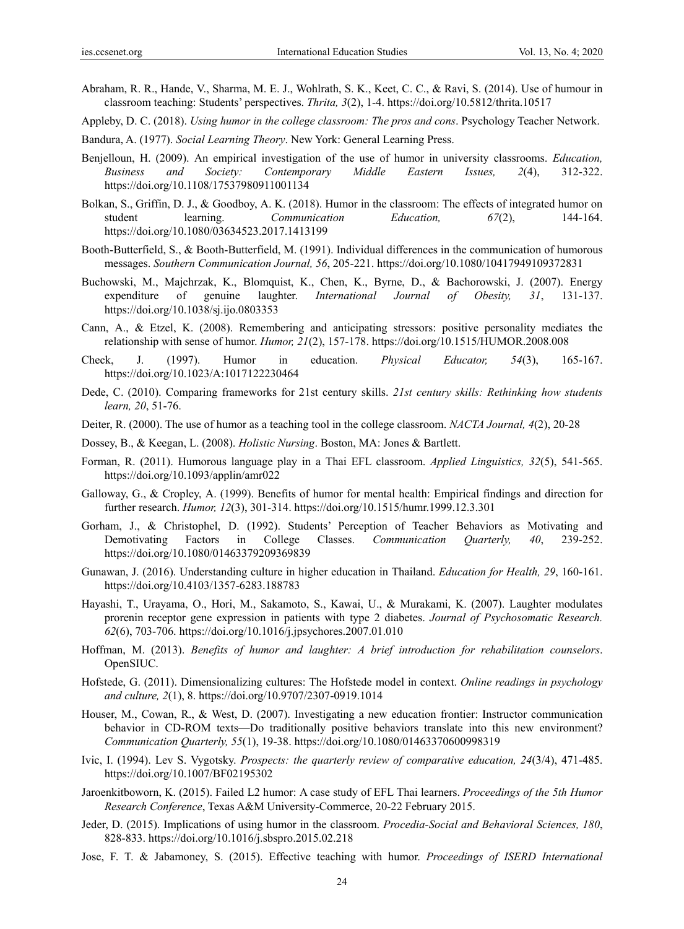- Abraham, R. R., Hande, V., Sharma, M. E. J., Wohlrath, S. K., Keet, C. C., & Ravi, S. (2014). Use of humour in classroom teaching: Students' perspectives. *Thrita, 3*(2), 1-4. https://doi.org/10.5812/thrita.10517
- Appleby, D. C. (2018). *Using humor in the college classroom: The pros and cons*. Psychology Teacher Network.
- Bandura, A. (1977). *Social Learning Theory*. New York: General Learning Press.
- Benjelloun, H. (2009). An empirical investigation of the use of humor in university classrooms. *Education, Business and Society: Contemporary Middle Eastern Issues, 2*(4), 312-322. https://doi.org/10.1108/17537980911001134
- Bolkan, S., Griffin, D. J., & Goodboy, A. K. (2018). Humor in the classroom: The effects of integrated humor on student learning. *Communication Education, 67*(2), 144-164. https://doi.org/10.1080/03634523.2017.1413199
- Booth-Butterfield, S., & Booth-Butterfield, M. (1991). Individual differences in the communication of humorous messages. *Southern Communication Journal, 56*, 205-221. https://doi.org/10.1080/10417949109372831
- Buchowski, M., Majchrzak, K., Blomquist, K., Chen, K., Byrne, D., & Bachorowski, J. (2007). Energy expenditure of genuine laughter. *International Journal of Obesity, 31*, 131-137. https://doi.org/10.1038/sj.ijo.0803353
- Cann, A., & Etzel, K. (2008). Remembering and anticipating stressors: positive personality mediates the relationship with sense of humor. *Humor, 21*(2), 157-178. https://doi.org/10.1515/HUMOR.2008.008
- Check, J. (1997). Humor in education. *Physical Educator, 54*(3), 165-167. https://doi.org/10.1023/A:1017122230464
- Dede, C. (2010). Comparing frameworks for 21st century skills. *21st century skills: Rethinking how students learn, 20*, 51-76.
- Deiter, R. (2000). The use of humor as a teaching tool in the college classroom. *NACTA Journal, 4*(2), 20-28
- Dossey, B., & Keegan, L. (2008). *Holistic Nursing*. Boston, MA: Jones & Bartlett.
- Forman, R. (2011). Humorous language play in a Thai EFL classroom. *Applied Linguistics, 32*(5), 541-565. https://doi.org/10.1093/applin/amr022
- Galloway, G., & Cropley, A. (1999). Benefits of humor for mental health: Empirical findings and direction for further research. *Humor, 12*(3), 301-314. https://doi.org/10.1515/humr.1999.12.3.301
- Gorham, J., & Christophel, D. (1992). Students' Perception of Teacher Behaviors as Motivating and Demotivating Factors in College Classes. *Communication Quarterly, 40*, 239-252. https://doi.org/10.1080/01463379209369839
- Gunawan, J. (2016). Understanding culture in higher education in Thailand. *Education for Health, 29*, 160-161. https://doi.org/10.4103/1357-6283.188783
- Hayashi, T., Urayama, O., Hori, M., Sakamoto, S., Kawai, U., & Murakami, K. (2007). Laughter modulates prorenin receptor gene expression in patients with type 2 diabetes. *Journal of Psychosomatic Research. 62*(6), 703-706. https://doi.org/10.1016/j.jpsychores.2007.01.010
- Hoffman, M. (2013). *Benefits of humor and laughter: A brief introduction for rehabilitation counselors*. OpenSIUC.
- Hofstede, G. (2011). Dimensionalizing cultures: The Hofstede model in context. *Online readings in psychology and culture, 2*(1), 8. https://doi.org/10.9707/2307-0919.1014
- Houser, M., Cowan, R., & West, D. (2007). Investigating a new education frontier: Instructor communication behavior in CD-ROM texts—Do traditionally positive behaviors translate into this new environment? *Communication Quarterly, 55*(1), 19-38. https://doi.org/10.1080/01463370600998319
- Ivic, I. (1994). Lev S. Vygotsky. *Prospects: the quarterly review of comparative education, 24*(3/4), 471-485. https://doi.org/10.1007/BF02195302
- Jaroenkitboworn, K. (2015). Failed L2 humor: A case study of EFL Thai learners. *Proceedings of the 5th Humor Research Conference*, Texas A&M University-Commerce, 20-22 February 2015.
- Jeder, D. (2015). Implications of using humor in the classroom. *Procedia-Social and Behavioral Sciences, 180*, 828-833. https://doi.org/10.1016/j.sbspro.2015.02.218
- Jose, F. T. & Jabamoney, S. (2015). Effective teaching with humor. *Proceedings of ISERD International*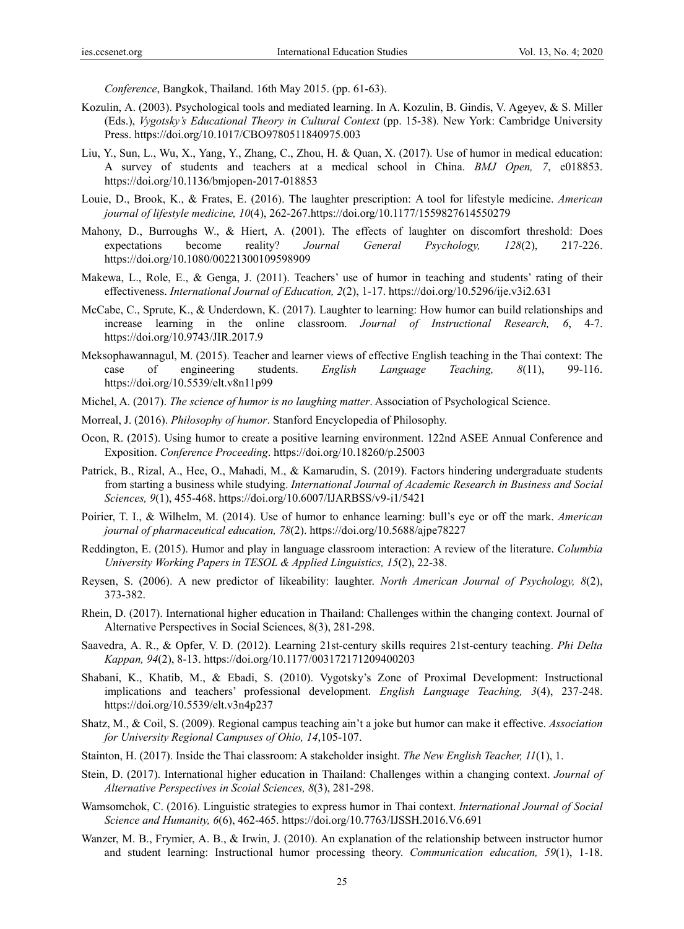*Conference*, Bangkok, Thailand. 16th May 2015. (pp. 61-63).

- Kozulin, A. (2003). Psychological tools and mediated learning. In A. Kozulin, B. Gindis, V. Ageyev, & S. Miller (Eds.), *Vygotsky's Educational Theory in Cultural Context* (pp. 15-38). New York: Cambridge University Press. https://doi.org/10.1017/CBO9780511840975.003
- Liu, Y., Sun, L., Wu, X., Yang, Y., Zhang, C., Zhou, H. & Quan, X. (2017). Use of humor in medical education: A survey of students and teachers at a medical school in China. *BMJ Open, 7*, e018853. https://doi.org/10.1136/bmjopen-2017-018853
- Louie, D., Brook, K., & Frates, E. (2016). The laughter prescription: A tool for lifestyle medicine. *American journal of lifestyle medicine, 10*(4), 262-267.https://doi.org/10.1177/1559827614550279
- Mahony, D., Burroughs W., & Hiert, A. (2001). The effects of laughter on discomfort threshold: Does expectations become reality? *Journal General Psychology, 128*(2), 217-226. https://doi.org/10.1080/00221300109598909
- Makewa, L., Role, E., & Genga, J. (2011). Teachers' use of humor in teaching and students' rating of their effectiveness. *International Journal of Education, 2*(2), 1-17. https://doi.org/10.5296/ije.v3i2.631
- McCabe, C., Sprute, K., & Underdown, K. (2017). Laughter to learning: How humor can build relationships and increase learning in the online classroom. *Journal of Instructional Research, 6*, 4-7. https://doi.org/10.9743/JIR.2017.9
- Meksophawannagul, M. (2015). Teacher and learner views of effective English teaching in the Thai context: The case of engineering students. *English Language Teaching, 8*(11), 99-116. https://doi.org/10.5539/elt.v8n11p99
- Michel, A. (2017). *The science of humor is no laughing matter*. Association of Psychological Science.
- Morreal, J. (2016). *Philosophy of humor*. Stanford Encyclopedia of Philosophy.
- Ocon, R. (2015). Using humor to create a positive learning environment. 122nd ASEE Annual Conference and Exposition. *Conference Proceeding*. https://doi.org/10.18260/p.25003
- Patrick, B., Rizal, A., Hee, O., Mahadi, M., & Kamarudin, S. (2019). Factors hindering undergraduate students from starting a business while studying. *International Journal of Academic Research in Business and Social Sciences, 9*(1), 455-468. https://doi.org/10.6007/IJARBSS/v9-i1/5421
- Poirier, T. I., & Wilhelm, M. (2014). Use of humor to enhance learning: bull's eye or off the mark. *American journal of pharmaceutical education, 78*(2). https://doi.org/10.5688/ajpe78227
- Reddington, E. (2015). Humor and play in language classroom interaction: A review of the literature. *Columbia University Working Papers in TESOL & Applied Linguistics, 15*(2), 22-38.
- Reysen, S. (2006). A new predictor of likeability: laughter. *North American Journal of Psychology, 8*(2), 373-382.
- Rhein, D. (2017). International higher education in Thailand: Challenges within the changing context. Journal of Alternative Perspectives in Social Sciences, 8(3), 281-298.
- Saavedra, A. R., & Opfer, V. D. (2012). Learning 21st-century skills requires 21st-century teaching. *Phi Delta Kappan, 94*(2), 8-13. https://doi.org/10.1177/003172171209400203
- Shabani, K., Khatib, M., & Ebadi, S. (2010). Vygotsky's Zone of Proximal Development: Instructional implications and teachers' professional development. *English Language Teaching, 3*(4), 237-248. https://doi.org/10.5539/elt.v3n4p237
- Shatz, M., & Coil, S. (2009). Regional campus teaching ain't a joke but humor can make it effective. *Association for University Regional Campuses of Ohio, 14*,105-107.
- Stainton, H. (2017). Inside the Thai classroom: A stakeholder insight. *The New English Teacher, 11*(1), 1.
- Stein, D. (2017). International higher education in Thailand: Challenges within a changing context. *Journal of Alternative Perspectives in Scoial Sciences, 8*(3), 281-298.
- Wamsomchok, C. (2016). Linguistic strategies to express humor in Thai context. *International Journal of Social Science and Humanity, 6*(6), 462-465. https://doi.org/10.7763/IJSSH.2016.V6.691
- Wanzer, M. B., Frymier, A. B., & Irwin, J. (2010). An explanation of the relationship between instructor humor and student learning: Instructional humor processing theory. *Communication education, 59*(1), 1-18.